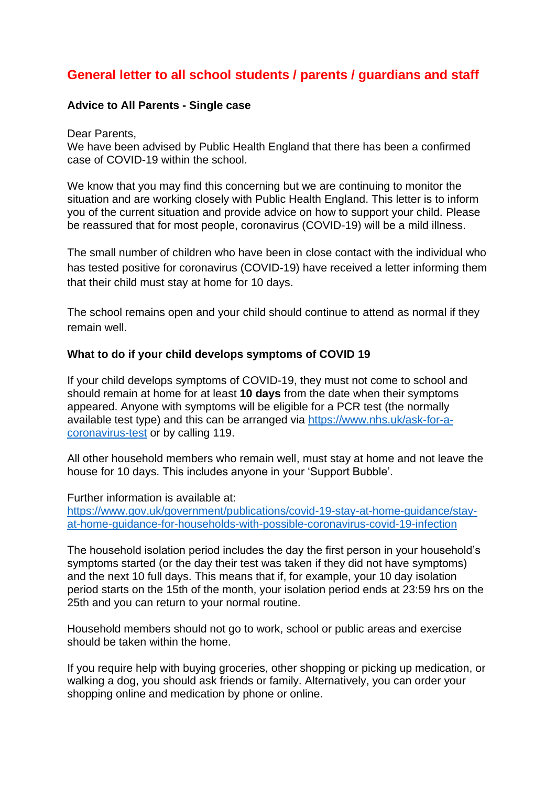# **General letter to all school students / parents / guardians and staff**

#### **Advice to All Parents - Single case**

Dear Parents,

We have been advised by Public Health England that there has been a confirmed case of COVID-19 within the school.

We know that you may find this concerning but we are continuing to monitor the situation and are working closely with Public Health England. This letter is to inform you of the current situation and provide advice on how to support your child. Please be reassured that for most people, coronavirus (COVID-19) will be a mild illness.

The small number of children who have been in close contact with the individual who has tested positive for coronavirus (COVID-19) have received a letter informing them that their child must stay at home for 10 days.

The school remains open and your child should continue to attend as normal if they remain well.

#### **What to do if your child develops symptoms of COVID 19**

If your child develops symptoms of COVID-19, they must not come to school and should remain at home for at least **10 days** from the date when their symptoms appeared. Anyone with symptoms will be eligible for a PCR test (the normally available test type) and this can be arranged via [https://www.nhs.uk/ask-for-a](https://www.nhs.uk/ask-for-a-coronavirus-test)[coronavirus-test](https://www.nhs.uk/ask-for-a-coronavirus-test) or by calling 119.

All other household members who remain well, must stay at home and not leave the house for 10 days. This includes anyone in your 'Support Bubble'.

Further information is available at:

[https://www.gov.uk/government/publications/covid-19-stay-at-home-guidance/stay](https://www.gov.uk/government/publications/covid-19-stay-at-home-guidance/stay-at-home-guidance-for-households-with-possible-coronavirus-covid-19-infection)[at-home-guidance-for-households-with-possible-coronavirus-covid-19-infection](https://www.gov.uk/government/publications/covid-19-stay-at-home-guidance/stay-at-home-guidance-for-households-with-possible-coronavirus-covid-19-infection)

The household isolation period includes the day the first person in your household's symptoms started (or the day their test was taken if they did not have symptoms) and the next 10 full days. This means that if, for example, your 10 day isolation period starts on the 15th of the month, your isolation period ends at 23:59 hrs on the 25th and you can return to your normal routine.

Household members should not go to work, school or public areas and exercise should be taken within the home.

If you require help with buying groceries, other shopping or picking up medication, or walking a dog, you should ask friends or family. Alternatively, you can order your shopping online and medication by phone or online.